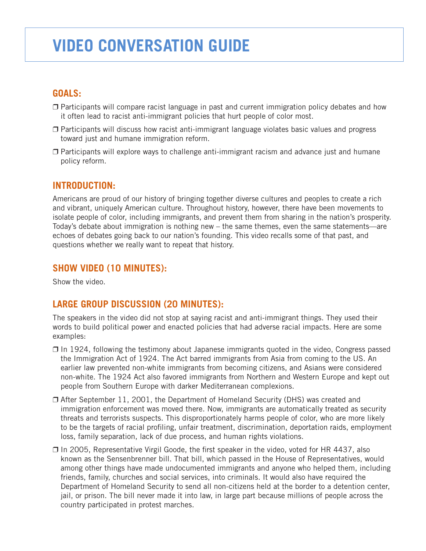# **Video conversation guide**

## **Goals:**

- $\Box$  Participants will compare racist language in past and current immigration policy debates and how it often lead to racist anti-immigrant policies that hurt people of color most.
- $\Box$  Participants will discuss how racist anti-immigrant language violates basic values and progress toward just and humane immigration reform.
- $\Box$  Participants will explore ways to challenge anti-immigrant racism and advance just and humane policy reform.

#### **Introduction:**

Americans are proud of our history of bringing together diverse cultures and peoples to create a rich and vibrant, uniquely American culture. Throughout history, however, there have been movements to isolate people of color, including immigrants, and prevent them from sharing in the nation's prosperity. Today's debate about immigration is nothing new – the same themes, even the same statements—are echoes of debates going back to our nation's founding. This video recalls some of that past, and questions whether we really want to repeat that history.

### **Show video (10 minutes):**

Show the video.

## **Large group discussion (20 minutes):**

The speakers in the video did not stop at saying racist and anti-immigrant things. They used their words to build political power and enacted policies that had adverse racial impacts. Here are some examples:

- $\Box$  In 1924, following the testimony about Japanese immigrants quoted in the video, Congress passed the Immigration Act of 1924. The Act barred immigrants from Asia from coming to the US. An earlier law prevented non-white immigrants from becoming citizens, and Asians were considered non-white. The 1924 Act also favored immigrants from Northern and Western Europe and kept out people from Southern Europe with darker Mediterranean complexions.
- $\Box$  After September 11, 2001, the Department of Homeland Security (DHS) was created and immigration enforcement was moved there. Now, immigrants are automatically treated as security threats and terrorists suspects. This disproportionately harms people of color, who are more likely to be the targets of racial profiling, unfair treatment, discrimination, deportation raids, employment loss, family separation, lack of due process, and human rights violations.
- $\Box$  In 2005, Representative Virgil Goode, the first speaker in the video, voted for HR 4437, also known as the Sensenbrenner bill. That bill, which passed in the House of Representatives, would among other things have made undocumented immigrants and anyone who helped them, including friends, family, churches and social services, into criminals. It would also have required the Department of Homeland Security to send all non-citizens held at the border to a detention center, jail, or prison. The bill never made it into law, in large part because millions of people across the country participated in protest marches.